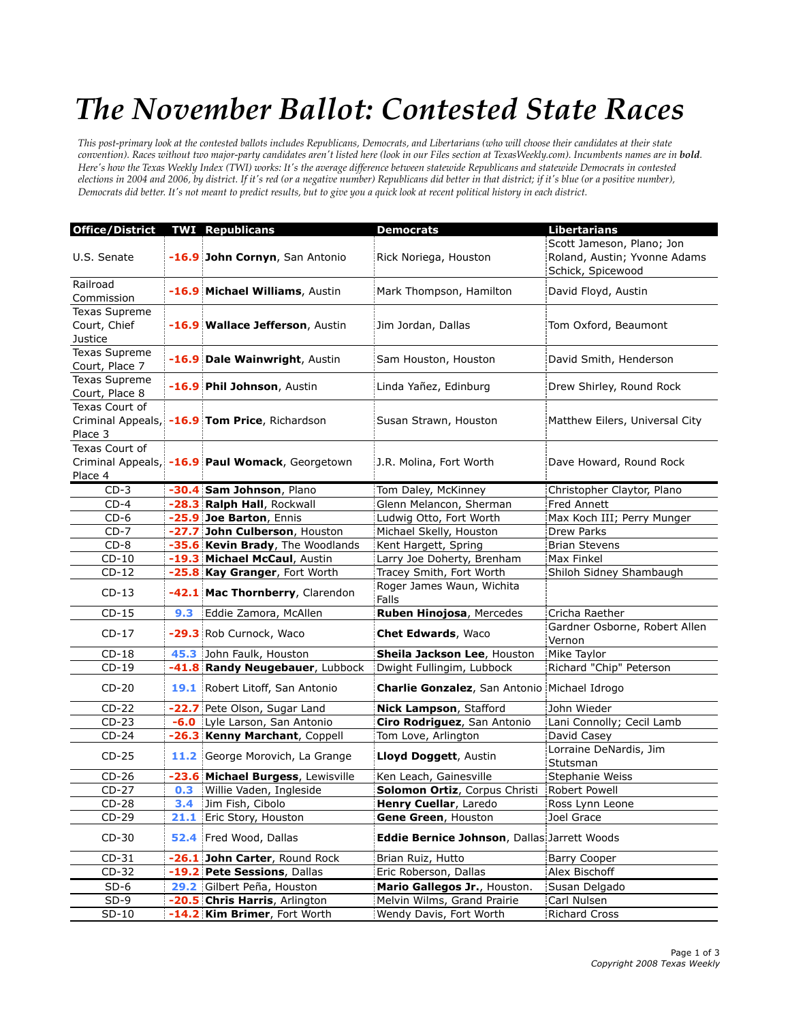## *The November Ballot: Contested State Races*

*This post-primary look at the contested ballots includes Republicans, Democrats, and Libertarians (who will choose their candidates at their state convention). Races without two major-party candidates aren't listed here (look in our Files section at TexasWeekly.com). Incumbents names are in bold. Here's how the Texas Weekly Index (TWI) works: It's the average difference between statewide Republicans and statewide Democrats in contested elections in 2004 and 2006, by district. If it's red (or a negative number) Republicans did better in that district; if it's blue (or a positive number), Democrats did better. It's not meant to predict results, but to give you a quick look at recent political history in each district.*

| <b>Office/District</b>                   |      | <b>TWI Republicans</b>                          | <b>Democrats</b>                                     | <b>Libertarians</b>                                                            |
|------------------------------------------|------|-------------------------------------------------|------------------------------------------------------|--------------------------------------------------------------------------------|
| U.S. Senate                              |      | -16.9 John Cornyn, San Antonio                  | Rick Noriega, Houston                                | Scott Jameson, Plano; Jon<br>Roland, Austin; Yvonne Adams<br>Schick, Spicewood |
| Railroad<br>Commission                   |      | -16.9 Michael Williams, Austin                  | Mark Thompson, Hamilton                              | David Floyd, Austin                                                            |
| Texas Supreme<br>Court, Chief<br>Justice |      | -16.9 Wallace Jefferson, Austin                 | Jim Jordan, Dallas                                   | Tom Oxford, Beaumont                                                           |
| Texas Supreme<br>Court, Place 7          |      | -16.9 Dale Wainwright, Austin                   | Sam Houston, Houston                                 | David Smith, Henderson                                                         |
| Texas Supreme<br>Court, Place 8          |      | -16.9 Phil Johnson, Austin                      | Linda Yañez, Edinburg                                | Drew Shirley, Round Rock                                                       |
| Texas Court of<br>Place 3                |      | Criminal Appeals, -16.9 Tom Price, Richardson   | Susan Strawn, Houston                                | Matthew Eilers, Universal City                                                 |
| Texas Court of<br>Place 4                |      | Criminal Appeals, -16.9 Paul Womack, Georgetown | J.R. Molina, Fort Worth                              | Dave Howard, Round Rock                                                        |
| $CD-3$                                   |      | -30.4 Sam Johnson, Plano                        | Tom Daley, McKinney                                  | Christopher Claytor, Plano                                                     |
| $CD-4$                                   |      | -28.3 Ralph Hall, Rockwall                      | Glenn Melancon, Sherman                              | <b>Fred Annett</b>                                                             |
| $CD-6$                                   |      | -25.9 Joe Barton, Ennis                         | Ludwig Otto, Fort Worth                              | Max Koch III; Perry Munger                                                     |
| $CD-7$                                   |      | -27.7 John Culberson, Houston                   | Michael Skelly, Houston                              | Drew Parks                                                                     |
| $CD-8$                                   |      | -35.6 Kevin Brady, The Woodlands                | Kent Hargett, Spring                                 | <b>Brian Stevens</b>                                                           |
| $CD-10$                                  |      | -19.3 Michael McCaul, Austin                    | Larry Joe Doherty, Brenham                           | Max Finkel                                                                     |
| $CD-12$                                  |      | -25.8 Kay Granger, Fort Worth                   | Tracey Smith, Fort Worth                             | Shiloh Sidney Shambaugh                                                        |
| $CD-13$                                  |      | -42.1 Mac Thornberry, Clarendon                 | Roger James Waun, Wichita<br>Falls                   |                                                                                |
| $CD-15$                                  | 9.3  | Eddie Zamora, McAllen                           | Ruben Hinojosa, Mercedes                             | Cricha Raether                                                                 |
| $CD-17$                                  |      | -29.3 Rob Curnock, Waco                         | <b>Chet Edwards, Waco</b>                            | Gardner Osborne, Robert Allen<br>Vernon                                        |
| $CD-18$                                  |      | 45.3 John Faulk, Houston                        | Sheila Jackson Lee, Houston                          | Mike Taylor                                                                    |
| $CD-19$                                  |      | -41.8 Randy Neugebauer, Lubbock                 | Dwight Fullingim, Lubbock                            | Richard "Chip" Peterson                                                        |
| $CD-20$                                  |      | 19.1 Robert Litoff, San Antonio                 | <b>Charlie Gonzalez</b> , San Antonio Michael Idrogo |                                                                                |
| $CD-22$                                  |      | -22.7 Pete Olson, Sugar Land                    | Nick Lampson, Stafford                               | John Wieder                                                                    |
| $CD-23$                                  |      | -6.0 Lyle Larson, San Antonio                   | Ciro Rodriguez, San Antonio                          | Lani Connolly; Cecil Lamb                                                      |
| $CD-24$                                  |      | -26.3 Kenny Marchant, Coppell                   | Tom Love, Arlington                                  | David Casey                                                                    |
| $CD-25$                                  |      | 11.2 George Morovich, La Grange                 | Lloyd Doggett, Austin                                | Lorraine DeNardis, Jim<br>Stutsman                                             |
| $CD-26$                                  |      | -23.6 Michael Burgess, Lewisville               | Ken Leach, Gainesville                               | Stephanie Weiss                                                                |
| $CD-27$                                  |      | <b>0.3</b> Willie Vaden, Ingleside              | Solomon Ortiz, Corpus Christi                        | Robert Powell                                                                  |
| $CD-28$                                  |      | 3.4 Jim Fish, Cibolo                            | Henry Cuellar, Laredo                                | Ross Lynn Leone                                                                |
| $CD-29$                                  | 21.1 | Eric Story, Houston                             | Gene Green, Houston                                  | Joel Grace                                                                     |
| $CD-30$                                  |      | 52.4 Fred Wood, Dallas                          | Eddie Bernice Johnson, Dallas Jarrett Woods          |                                                                                |
| $CD-31$                                  |      | -26.1 John Carter, Round Rock                   | Brian Ruiz, Hutto                                    | <b>Barry Cooper</b>                                                            |
| $CD-32$                                  |      | -19.2 Pete Sessions, Dallas                     | Eric Roberson, Dallas                                | Alex Bischoff                                                                  |
| $SD-6$                                   |      | 29.2 Gilbert Peña, Houston                      | Mario Gallegos Jr., Houston.                         | Susan Delgado                                                                  |
| $SD-9$                                   |      | -20.5 Chris Harris, Arlington                   | Melvin Wilms, Grand Prairie                          | Carl Nulsen                                                                    |
| $SD-10$                                  |      | -14.2 Kim Brimer, Fort Worth                    | Wendy Davis, Fort Worth                              | <b>Richard Cross</b>                                                           |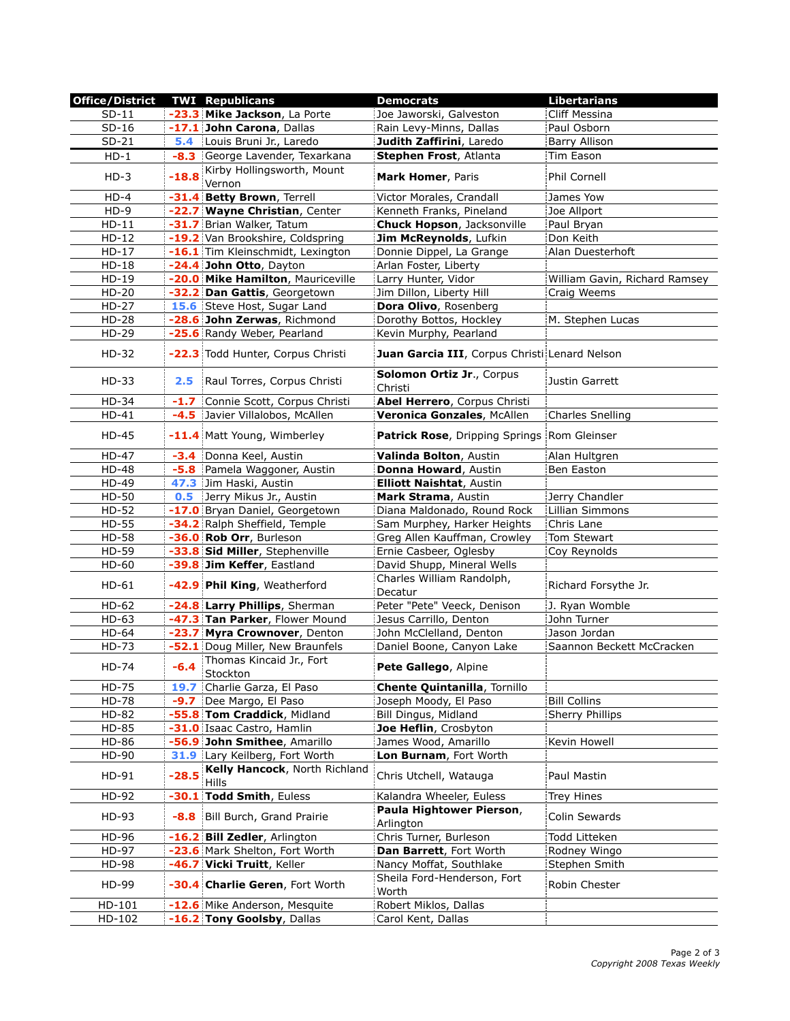| <b>Office/District</b> |         | <b>TWI Republicans</b>                 | <b>Democrats</b>                              | <b>Libertarians</b>           |
|------------------------|---------|----------------------------------------|-----------------------------------------------|-------------------------------|
| $SD-11$                |         | -23.3 Mike Jackson, La Porte           | Joe Jaworski, Galveston                       | Cliff Messina                 |
| $SD-16$                |         | -17.1 John Carona, Dallas              | Rain Levy-Minns, Dallas                       | Paul Osborn                   |
| $SD-21$                |         | 5.4 Louis Bruni Jr., Laredo            | Judith Zaffirini, Laredo                      | Barry Allison                 |
| $HD-1$                 |         | -8.3 George Lavender, Texarkana        | Stephen Frost, Atlanta                        | Tim Eason                     |
| $HD-3$                 | -18.8   | Kirby Hollingsworth, Mount<br>Vernon   | Mark Homer, Paris                             | Phil Cornell                  |
| $HD-4$                 |         | -31.4 Betty Brown, Terrell             | Victor Morales, Crandall                      | James Yow                     |
| $HD-9$                 |         | -22.7 Wayne Christian, Center          | Kenneth Franks, Pineland                      | Joe Allport                   |
| $HD-11$                |         | -31.7 Brian Walker, Tatum              | Chuck Hopson, Jacksonville                    | Paul Bryan                    |
| $HD-12$                |         | -19.2 Van Brookshire, Coldspring       | Jim McReynolds, Lufkin                        | Don Keith                     |
| $HD-17$                |         | -16.1 Tim Kleinschmidt, Lexington      | Donnie Dippel, La Grange                      | Alan Duesterhoft              |
| $HD-18$                |         | -24.4 John Otto, Dayton                | Arlan Foster, Liberty                         |                               |
| $HD-19$                |         | -20.0 Mike Hamilton, Mauriceville      | Larry Hunter, Vidor                           | William Gavin, Richard Ramsey |
| HD-20                  |         | -32.2 Dan Gattis, Georgetown           | Jim Dillon, Liberty Hill                      | Craig Weems                   |
| $HD-27$                |         | 15.6 Steve Host, Sugar Land            | Dora Olivo, Rosenberg                         |                               |
| HD-28                  |         | -28.6 John Zerwas, Richmond            | Dorothy Bottos, Hockley                       | M. Stephen Lucas              |
| HD-29                  |         | -25.6 Randy Weber, Pearland            | Kevin Murphy, Pearland                        |                               |
| HD-32                  |         | -22.3 Todd Hunter, Corpus Christi      | Juan Garcia III, Corpus Christi Lenard Nelson |                               |
| HD-33                  | 2.5     | Raul Torres, Corpus Christi            | Solomon Ortiz Jr., Corpus<br>Christi          | Justin Garrett                |
| HD-34                  | $-1.7$  | Connie Scott, Corpus Christi           | Abel Herrero, Corpus Christi                  |                               |
| $HD-41$                |         | -4.5 Javier Villalobos, McAllen        | Veronica Gonzales, McAllen                    | <b>Charles Snelling</b>       |
| HD-45                  |         | -11.4 Matt Young, Wimberley            | Patrick Rose, Dripping Springs Rom Gleinser   |                               |
| <b>HD-47</b>           |         | -3.4 Donna Keel, Austin                | Valinda Bolton, Austin                        | Alan Hultgren                 |
| <b>HD-48</b>           |         | -5.8 Pamela Waggoner, Austin           | Donna Howard, Austin                          | Ben Easton                    |
| HD-49                  |         | 47.3 Jim Haski, Austin                 | <b>Elliott Naishtat, Austin</b>               |                               |
| HD-50                  | 0.5     | Jerry Mikus Jr., Austin                | Mark Strama, Austin                           | Jerry Chandler                |
| HD-52                  |         | -17.0 Bryan Daniel, Georgetown         | Diana Maldonado, Round Rock                   | <b>Lillian Simmons</b>        |
| HD-55                  |         | -34.2 Ralph Sheffield, Temple          | Sam Murphey, Harker Heights                   | Chris Lane                    |
| HD-58                  |         | -36.0 Rob Orr, Burleson                | Greg Allen Kauffman, Crowley                  | Tom Stewart                   |
| HD-59                  |         | -33.8 Sid Miller, Stephenville         | Ernie Casbeer, Oglesby                        | Coy Reynolds                  |
| HD-60                  |         | -39.8 Jim Keffer, Eastland             | David Shupp, Mineral Wells                    |                               |
| $HD-61$                |         | -42.9 Phil King, Weatherford           | Charles William Randolph,<br>Decatur          | Richard Forsythe Jr.          |
| HD-62                  |         | -24.8 Larry Phillips, Sherman          | Peter "Pete" Veeck, Denison                   | J. Ryan Womble                |
| $HD-63$                |         | -47.3 Tan Parker, Flower Mound         | Jesus Carrillo, Denton                        | John Turner                   |
| HD-64                  |         | -23.7 Myra Crownover, Denton           | John McClelland, Denton                       | Jason Jordan                  |
| HD-73                  |         | -52.1 Doug Miller, New Braunfels       | Daniel Boone, Canyon Lake                     | Saannon Beckett McCracken     |
| HD-74                  | $-6.4$  | Thomas Kincaid Jr., Fort<br>Stockton   | Pete Gallego, Alpine                          |                               |
| HD-75                  |         | 19.7 Charlie Garza, El Paso            | <b>Chente Quintanilla, Tornillo</b>           |                               |
| <b>HD-78</b>           |         | -9.7 Dee Margo, El Paso                | Joseph Moody, El Paso                         | <b>Bill Collins</b>           |
| HD-82                  |         | -55.8 Tom Craddick, Midland            | Bill Dingus, Midland                          | <b>Sherry Phillips</b>        |
| HD-85                  |         | -31.0 Isaac Castro, Hamlin             | Joe Heflin, Crosbyton                         |                               |
| HD-86                  |         | -56.9 John Smithee, Amarillo           | James Wood, Amarillo                          | Kevin Howell                  |
| HD-90                  |         | 31.9 Lary Keilberg, Fort Worth         | Lon Burnam, Fort Worth                        |                               |
| HD-91                  | $-28.5$ | Kelly Hancock, North Richland<br>Hills | Chris Utchell, Watauga                        | Paul Mastin                   |
| HD-92                  |         | -30.1 Todd Smith, Euless               | Kalandra Wheeler, Euless                      | <b>Trey Hines</b>             |
| HD-93                  |         | -8.8 Bill Burch, Grand Prairie         | Paula Hightower Pierson,<br>Arlington         | Colin Sewards                 |
| HD-96                  |         | -16.2 Bill Zedler, Arlington           | Chris Turner, Burleson                        | Todd Litteken                 |
| HD-97                  |         | -23.6 Mark Shelton, Fort Worth         | Dan Barrett, Fort Worth                       | Rodney Wingo                  |
| <b>HD-98</b>           |         | -46.7 Vicki Truitt, Keller             | Nancy Moffat, Southlake                       | Stephen Smith                 |
| HD-99                  |         | -30.4 Charlie Geren, Fort Worth        | Sheila Ford-Henderson, Fort<br>Worth          | Robin Chester                 |
| HD-101                 |         | -12.6 Mike Anderson, Mesquite          | Robert Miklos, Dallas                         |                               |
| HD-102                 |         | -16.2 Tony Goolsby, Dallas             | Carol Kent, Dallas                            |                               |